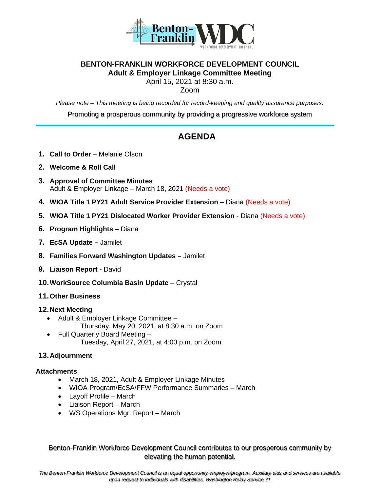

#### **BENTON-FRANKLIN WORKFORCE DEVELOPMENT COUNCIL Adult & Employer Linkage Committee Meeting**

April 15, 2021 at 8:30 a.m.

Zoom

*Please note – This meeting is being recorded for record-keeping and quality assurance purposes.*

Promoting a prosperous community by providing a progressive workforce system

## **AGENDA**

- **1. Call to Order** Melanie Olson
- **2. Welcome & Roll Call**
- **3. Approval of Committee Minutes** Adult & Employer Linkage – March 18, 2021 (Needs a vote)
- **4. WIOA Title 1 PY21 Adult Service Provider Extension** Diana (Needs a vote)
- **5. WIOA Title 1 PY21 Dislocated Worker Provider Extension** Diana (Needs a vote)
- **6. Program Highlights** Diana
- **7. EcSA Update –** Jamilet
- **8. Families Forward Washington Updates –** Jamilet
- **9. Liaison Report -** David
- **10.WorkSource Columbia Basin Update** Crystal
- **11.Other Business**

#### **12.Next Meeting**

- Adult & Employer Linkage Committee Thursday, May 20, 2021, at 8:30 a.m. on Zoom
- Full Quarterly Board Meeting Tuesday, April 27, 2021, at 4:00 p.m. on Zoom

#### **13.Adjournment**

#### **Attachments**

- March 18, 2021, Adult & Employer Linkage Minutes
- WIOA Program/EcSA/FFW Performance Summaries March
- Layoff Profile March
- Liaison Report March
- WS Operations Mgr. Report March

Benton-Franklin Workforce Development Council contributes to our prosperous community by elevating the human potential.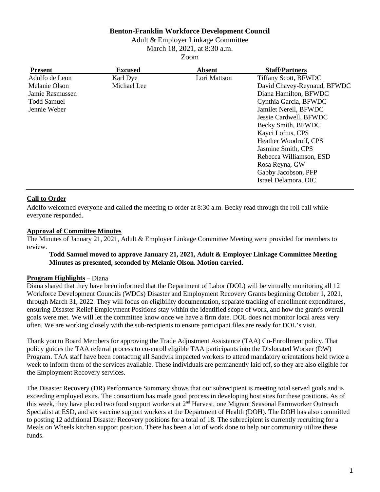#### **Benton-Franklin Workforce Development Council**

Adult & Employer Linkage Committee March 18, 2021, at 8:30 a.m.

Zoom

| <b>Present</b>     | <b>Excused</b> | <b>Absent</b> | <b>Staff/Partners</b>       |
|--------------------|----------------|---------------|-----------------------------|
| Adolfo de Leon     | Karl Dye       | Lori Mattson  | <b>Tiffany Scott, BFWDC</b> |
| Melanie Olson      | Michael Lee    |               | David Chavey-Reynaud, BFWDC |
| Jamie Rasmussen    |                |               | Diana Hamilton, BFWDC       |
| <b>Todd Samuel</b> |                |               | Cynthia Garcia, BFWDC       |
| Jennie Weber       |                |               | Jamilet Nerell, BFWDC       |
|                    |                |               | Jessie Cardwell, BFWDC      |
|                    |                |               | Becky Smith, BFWDC          |
|                    |                |               | Kayci Loftus, CPS           |
|                    |                |               | Heather Woodruff, CPS       |
|                    |                |               | Jasmine Smith, CPS          |
|                    |                |               | Rebecca Williamson, ESD     |
|                    |                |               | Rosa Reyna, GW              |
|                    |                |               | Gabby Jacobson, PFP         |
|                    |                |               | Israel Delamora, OIC        |
|                    |                |               |                             |

#### **Call to Order**

Adolfo welcomed everyone and called the meeting to order at 8:30 a.m. Becky read through the roll call while everyone responded.

#### **Approval of Committee Minutes**

The Minutes of January 21, 2021, Adult & Employer Linkage Committee Meeting were provided for members to review.

#### **Todd Samuel moved to approve January 21, 2021, Adult & Employer Linkage Committee Meeting Minutes as presented, seconded by Melanie Olson. Motion carried.**

#### **Program Highlights** – Diana

Diana shared that they have been informed that the Department of Labor (DOL) will be virtually monitoring all 12 Workforce Development Councils (WDCs) Disaster and Employment Recovery Grants beginning October 1, 2021, through March 31, 2022. They will focus on eligibility documentation, separate tracking of enrollment expenditures, ensuring Disaster Relief Employment Positions stay within the identified scope of work, and how the grant's overall goals were met. We will let the committee know once we have a firm date. DOL does not monitor local areas very often. We are working closely with the sub-recipients to ensure participant files are ready for DOL's visit.

Thank you to Board Members for approving the Trade Adjustment Assistance (TAA) Co-Enrollment policy. That policy guides the TAA referral process to co-enroll eligible TAA participants into the Dislocated Worker (DW) Program. TAA staff have been contacting all Sandvik impacted workers to attend mandatory orientations held twice a week to inform them of the services available. These individuals are permanently laid off, so they are also eligible for the Employment Recovery services.

The Disaster Recovery (DR) Performance Summary shows that our subrecipient is meeting total served goals and is exceeding employed exits. The consortium has made good process in developing host sites for these positions. As of this week, they have placed two food support workers at 2<sup>nd</sup> Harvest, one Migrant Seasonal Farmworker Outreach Specialist at ESD, and six vaccine support workers at the Department of Health (DOH). The DOH has also committed to posting 12 additional Disaster Recovery positions for a total of 18. The subrecipient is currently recruiting for a Meals on Wheels kitchen support position. There has been a lot of work done to help our community utilize these funds.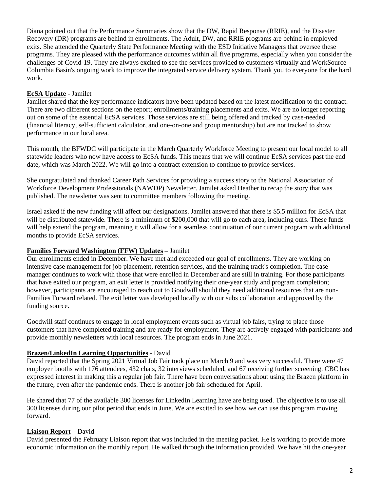Diana pointed out that the Performance Summaries show that the DW, Rapid Response (RRIE), and the Disaster Recovery (DR) programs are behind in enrollments. The Adult, DW, and RRIE programs are behind in employed exits. She attended the Quarterly State Performance Meeting with the ESD Initiative Managers that oversee these programs. They are pleased with the performance outcomes within all five programs, especially when you consider the challenges of Covid-19. They are always excited to see the services provided to customers virtually and WorkSource Columbia Basin's ongoing work to improve the integrated service delivery system. Thank you to everyone for the hard work.

#### **EcSA Update** - Jamilet

Jamilet shared that the key performance indicators have been updated based on the latest modification to the contract. There are two different sections on the report; enrollments/training placements and exits. We are no longer reporting out on some of the essential EcSA services. Those services are still being offered and tracked by case-needed (financial literacy, self-sufficient calculator, and one-on-one and group mentorship) but are not tracked to show performance in our local area.

This month, the BFWDC will participate in the March Quarterly Workforce Meeting to present our local model to all statewide leaders who now have access to EcSA funds. This means that we will continue EcSA services past the end date, which was March 2022. We will go into a contract extension to continue to provide services.

She congratulated and thanked Career Path Services for providing a success story to the National Association of Workforce Development Professionals (NAWDP) Newsletter. Jamilet asked Heather to recap the story that was published. The newsletter was sent to committee members following the meeting.

Israel asked if the new funding will affect our designations. Jamilet answered that there is \$5.5 million for EcSA that will be distributed statewide. There is a minimum of \$200,000 that will go to each area, including ours. These funds will help extend the program, meaning it will allow for a seamless continuation of our current program with additional months to provide EcSA services.

#### **Families Forward Washington (FFW) Updates** – Jamilet

Our enrollments ended in December. We have met and exceeded our goal of enrollments. They are working on intensive case management for job placement, retention services, and the training track's completion. The case manager continues to work with those that were enrolled in December and are still in training. For those participants that have exited our program, an exit letter is provided notifying their one-year study and program completion; however, participants are encouraged to reach out to Goodwill should they need additional resources that are non-Families Forward related. The exit letter was developed locally with our subs collaboration and approved by the funding source.

Goodwill staff continues to engage in local employment events such as virtual job fairs, trying to place those customers that have completed training and are ready for employment. They are actively engaged with participants and provide monthly newsletters with local resources. The program ends in June 2021.

#### **Brazen/LinkedIn Learning Opportunities** - David

David reported that the Spring 2021 Virtual Job Fair took place on March 9 and was very successful. There were 47 employer booths with 176 attendees, 432 chats, 32 interviews scheduled, and 67 receiving further screening. CBC has expressed interest in making this a regular job fair. There have been conversations about using the Brazen platform in the future, even after the pandemic ends. There is another job fair scheduled for April.

He shared that 77 of the available 300 licenses for LinkedIn Learning have are being used. The objective is to use all 300 licenses during our pilot period that ends in June. We are excited to see how we can use this program moving forward.

#### **Liaison Report** – David

David presented the February Liaison report that was included in the meeting packet. He is working to provide more economic information on the monthly report. He walked through the information provided. We have hit the one-year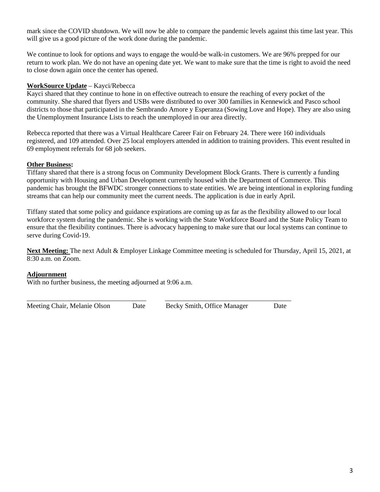mark since the COVID shutdown. We will now be able to compare the pandemic levels against this time last year. This will give us a good picture of the work done during the pandemic.

We continue to look for options and ways to engage the would-be walk-in customers. We are 96% prepped for our return to work plan. We do not have an opening date yet. We want to make sure that the time is right to avoid the need to close down again once the center has opened.

#### **WorkSource Update** – Kayci/Rebecca

Kayci shared that they continue to hone in on effective outreach to ensure the reaching of every pocket of the community. She shared that flyers and USBs were distributed to over 300 families in Kennewick and Pasco school districts to those that participated in the Sembrando Amore y Esperanza (Sowing Love and Hope). They are also using the Unemployment Insurance Lists to reach the unemployed in our area directly.

Rebecca reported that there was a Virtual Healthcare Career Fair on February 24. There were 160 individuals registered, and 109 attended. Over 25 local employers attended in addition to training providers. This event resulted in 69 employment referrals for 68 job seekers.

#### **Other Business:**

Tiffany shared that there is a strong focus on Community Development Block Grants. There is currently a funding opportunity with Housing and Urban Development currently housed with the Department of Commerce. This pandemic has brought the BFWDC stronger connections to state entities. We are being intentional in exploring funding streams that can help our community meet the current needs. The application is due in early April.

Tiffany stated that some policy and guidance expirations are coming up as far as the flexibility allowed to our local workforce system during the pandemic. She is working with the State Workforce Board and the State Policy Team to ensure that the flexibility continues. There is advocacy happening to make sure that our local systems can continue to serve during Covid-19.

**Next Meeting:** The next Adult & Employer Linkage Committee meeting is scheduled for Thursday, April 15, 2021, at 8:30 a.m. on Zoom.

#### **Adjournment**

With no further business, the meeting adjourned at 9:06 a.m.

Meeting Chair, Melanie Olson Date Becky Smith, Office Manager Date

\_\_\_\_\_\_\_\_\_\_\_\_\_\_\_\_\_\_\_\_\_\_\_\_\_\_\_\_\_\_\_\_\_\_\_ \_\_\_\_\_\_\_\_\_\_\_\_\_\_\_\_\_\_\_\_\_\_\_\_\_\_\_\_\_\_\_\_\_\_\_\_\_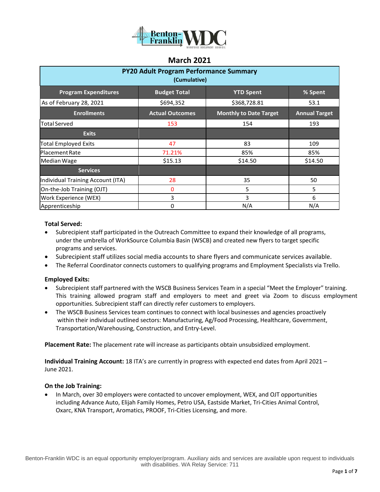

| <b>PY20 Adult Program Performance Summary</b><br>(Cumulative)                     |                        |                               |                      |  |  |  |
|-----------------------------------------------------------------------------------|------------------------|-------------------------------|----------------------|--|--|--|
| <b>Program Expenditures</b><br><b>Budget Total</b><br><b>YTD Spent</b><br>% Spent |                        |                               |                      |  |  |  |
| As of February 28, 2021                                                           | \$694,352              | \$368,728.81                  | 53.1                 |  |  |  |
| <b>Enrollments</b>                                                                | <b>Actual Outcomes</b> | <b>Monthly to Date Target</b> | <b>Annual Target</b> |  |  |  |
| <b>Total Served</b>                                                               | 153                    | 154                           | 193                  |  |  |  |
| <b>Exits</b>                                                                      |                        |                               |                      |  |  |  |
| <b>Total Employed Exits</b>                                                       | 47                     | 83                            | 109                  |  |  |  |
| <b>Placement Rate</b>                                                             | 71.21%                 | 85%                           | 85%                  |  |  |  |
| Median Wage                                                                       | \$15.13                | \$14.50                       | \$14.50              |  |  |  |
| <b>Services</b>                                                                   |                        |                               |                      |  |  |  |
| Individual Training Account (ITA)                                                 | 28                     | 35                            | 50                   |  |  |  |
| On-the-Job Training (OJT)                                                         | $\mathbf{0}$           | 5                             | 5                    |  |  |  |
| Work Experience (WEX)                                                             | 3                      | 3                             | 6                    |  |  |  |
| Apprenticeship                                                                    | 0                      | N/A                           | N/A                  |  |  |  |

#### **Total Served:**

- Subrecipient staff participated in the Outreach Committee to expand their knowledge of all programs, under the umbrella of WorkSource Columbia Basin (WSCB) and created new flyers to target specific programs and services.
- Subrecipient staff utilizes social media accounts to share flyers and communicate services available.
- The Referral Coordinator connects customers to qualifying programs and Employment Specialists via Trello.

#### **Employed Exits:**

- Subrecipient staff partnered with the WSCB Business Services Team in a special "Meet the Employer" training. This training allowed program staff and employers to meet and greet via Zoom to discuss employment opportunities. Subrecipient staff can directly refer customers to employers.
- The WSCB Business Services team continues to connect with local businesses and agencies proactively within their individual outlined sectors: Manufacturing, Ag/Food Processing, Healthcare, Government, Transportation/Warehousing, Construction, and Entry-Level.

**Placement Rate:** The placement rate will increase as participants obtain unsubsidized employment.

**Individual Training Account:** 18 ITA's are currently in progress with expected end dates from April 2021 – June 2021.

#### **On the Job Training:**

• In March, over 30 employers were contacted to uncover employment, WEX, and OJT opportunities including Advance Auto, Elijah Family Homes, Petro USA, Eastside Market, Tri-Cities Animal Control, Oxarc, KNA Transport, Aromatics, PROOF, Tri-Cities Licensing, and more.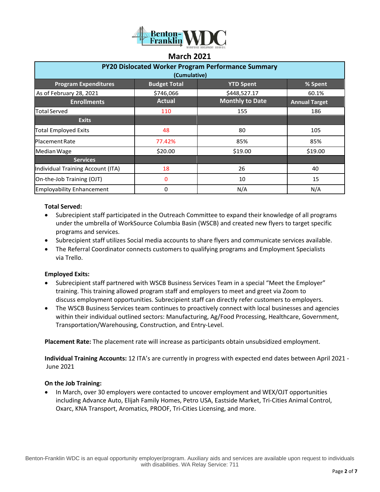

| <b>March 2021</b>                                         |                     |                        |                      |  |  |  |
|-----------------------------------------------------------|---------------------|------------------------|----------------------|--|--|--|
| <b>PY20 Dislocated Worker Program Performance Summary</b> |                     |                        |                      |  |  |  |
|                                                           | (Cumulative)        |                        |                      |  |  |  |
| <b>Program Expenditures</b>                               | <b>Budget Total</b> | <b>YTD Spent</b>       | % Spent              |  |  |  |
| As of February 28, 2021                                   | \$746,066           | \$448,527.17           | 60.1%                |  |  |  |
| <b>Enrollments</b>                                        | <b>Actual</b>       | <b>Monthly to Date</b> | <b>Annual Target</b> |  |  |  |
| <b>Total Served</b>                                       | 110                 | 155                    | 186                  |  |  |  |
| <b>Exits</b>                                              |                     |                        |                      |  |  |  |
| <b>Total Employed Exits</b>                               | 48                  | 80                     | 105                  |  |  |  |
| Placement Rate                                            | 77.42%              | 85%                    | 85%                  |  |  |  |
| Median Wage                                               | \$20.00             | \$19.00                | \$19.00              |  |  |  |
| <b>Services</b>                                           |                     |                        |                      |  |  |  |

Individual Training Account (ITA) 18 26 40 On-the-Job Training (OJT) 0 10 15 Employability Enhancement 0 N/A N/A

#### **Total Served:**

- Subrecipient staff participated in the Outreach Committee to expand their knowledge of all programs under the umbrella of WorkSource Columbia Basin (WSCB) and created new flyers to target specific programs and services.
- Subrecipient staff utilizes Social media accounts to share flyers and communicate services available.
- The Referral Coordinator connects customers to qualifying programs and Employment Specialists via Trello.

#### **Employed Exits:**

- Subrecipient staff partnered with WSCB Business Services Team in a special "Meet the Employer" training. This training allowed program staff and employers to meet and greet via Zoom to discuss employment opportunities. Subrecipient staff can directly refer customers to employers.
- The WSCB Business Services team continues to proactively connect with local businesses and agencies within their individual outlined sectors: Manufacturing, Ag/Food Processing, Healthcare, Government, Transportation/Warehousing, Construction, and Entry-Level.

**Placement Rate:** The placement rate will increase as participants obtain unsubsidized employment.

**Individual Training Accounts:** 12 ITA's are currently in progress with expected end dates between April 2021 - June 2021

#### **On the Job Training:**

• In March, over 30 employers were contacted to uncover employment and WEX/OJT opportunities including Advance Auto, Elijah Family Homes, Petro USA, Eastside Market, Tri-Cities Animal Control, Oxarc, KNA Transport, Aromatics, PROOF, Tri-Cities Licensing, and more.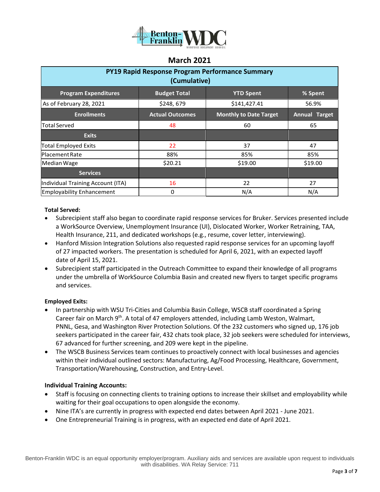

| PY19 Rapid Response Program Performance Summary<br>(Cumulative) |                        |                               |                      |  |  |
|-----------------------------------------------------------------|------------------------|-------------------------------|----------------------|--|--|
| <b>Program Expenditures</b>                                     | <b>Budget Total</b>    | <b>YTD Spent</b>              | % Spent              |  |  |
| As of February 28, 2021                                         | \$248,679              | \$141,427.41                  | 56.9%                |  |  |
| <b>Enrollments</b>                                              | <b>Actual Outcomes</b> | <b>Monthly to Date Target</b> | <b>Annual Target</b> |  |  |
| <b>Total Served</b>                                             | 48                     | 60                            | 65                   |  |  |
| <b>Exits</b>                                                    |                        |                               |                      |  |  |
| <b>Total Employed Exits</b>                                     | 22                     | 37                            | 47                   |  |  |
| <b>Placement Rate</b>                                           | 88%                    | 85%                           | 85%                  |  |  |
| Median Wage                                                     | \$20.21                | \$19.00                       | \$19.00              |  |  |
| <b>Services</b>                                                 |                        |                               |                      |  |  |
| Individual Training Account (ITA)                               | 16                     | 22                            | 27                   |  |  |
| <b>Employability Enhancement</b>                                | 0                      | N/A                           | N/A                  |  |  |

#### **Total Served:**

- Subrecipient staff also began to coordinate rapid response services for Bruker. Services presented include a WorkSource Overview, Unemployment Insurance (UI), Dislocated Worker, Worker Retraining, TAA, Health Insurance, 211, and dedicated workshops (e.g., resume, cover letter, interviewing).
- Hanford Mission Integration Solutions also requested rapid response services for an upcoming layoff of 27 impacted workers. The presentation is scheduled for April 6, 2021, with an expected layoff date of April 15, 2021.
- Subrecipient staff participated in the Outreach Committee to expand their knowledge of all programs under the umbrella of WorkSource Columbia Basin and created new flyers to target specific programs and services.

#### **Employed Exits:**

- In partnership with WSU Tri-Cities and Columbia Basin College, WSCB staff coordinated a Spring Career fair on March  $9<sup>th</sup>$ . A total of 47 employers attended, including Lamb Weston, Walmart, PNNL, Gesa, and Washington River Protection Solutions. Of the 232 customers who signed up, 176 job seekers participated in the career fair, 432 chats took place, 32 job seekers were scheduled for interviews, 67 advanced for further screening, and 209 were kept in the pipeline.
- The WSCB Business Services team continues to proactively connect with local businesses and agencies within their individual outlined sectors: Manufacturing, Ag/Food Processing, Healthcare, Government, Transportation/Warehousing, Construction, and Entry-Level.

#### **Individual Training Accounts:**

- Staff is focusing on connecting clients to training options to increase their skillset and employability while waiting for their goal occupations to open alongside the economy.
- Nine ITA's are currently in progress with expected end dates between April 2021 June 2021.
- One Entrepreneurial Training is in progress, with an expected end date of April 2021.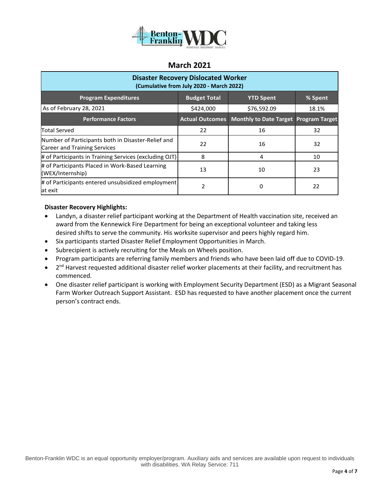

| <b>Disaster Recovery Dislocated Worker</b><br>(Cumulative from July 2020 - March 2022) |                        |                                       |         |  |  |  |
|----------------------------------------------------------------------------------------|------------------------|---------------------------------------|---------|--|--|--|
| <b>Program Expenditures</b>                                                            | <b>Budget Total</b>    | <b>YTD Spent</b>                      | % Spent |  |  |  |
| As of February 28, 2021                                                                | \$424,000              | \$76,592.09                           | 18.1%   |  |  |  |
| <b>Performance Factors</b>                                                             | <b>Actual Outcomes</b> | Monthly to Date Target Program Target |         |  |  |  |
| Total Served                                                                           | 22                     | 16                                    | 32      |  |  |  |
| Number of Participants both in Disaster-Relief and<br>Career and Training Services     | 22                     | 16                                    | 32      |  |  |  |
| # of Participants in Training Services (excluding OJT)                                 | 8                      | 4                                     | 10      |  |  |  |
| # of Participants Placed in Work-Based Learning<br>(WEX/Internship)                    | 13                     | 10                                    | 23      |  |  |  |
| # of Participants entered unsubsidized employment<br>at exit                           | 2                      | 0                                     | 22      |  |  |  |

#### **Disaster Recovery Highlights:**

- Landyn, a disaster relief participant working at the Department of Health vaccination site, received an award from the Kennewick Fire Department for being an exceptional volunteer and taking less desired shifts to serve the community. His worksite supervisor and peers highly regard him.
- Six participants started Disaster Relief Employment Opportunities in March.
- Subrecipient is actively recruiting for the Meals on Wheels position.
- Program participants are referring family members and friends who have been laid off due to COVID-19.
- $\bullet$  2<sup>nd</sup> Harvest requested additional disaster relief worker placements at their facility, and recruitment has commenced.
- One disaster relief participant is working with Employment Security Department (ESD) as a Migrant Seasonal Farm Worker Outreach Support Assistant. ESD has requested to have another placement once the current person's contract ends.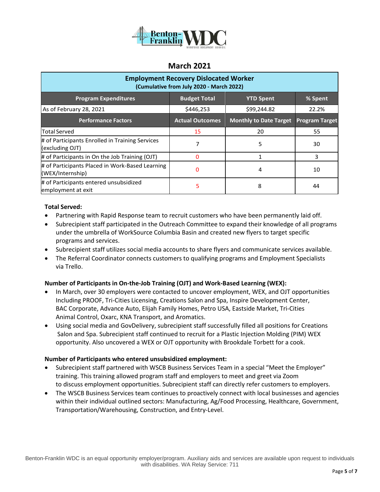

| <b>Employment Recovery Dislocated Worker</b><br>(Cumulative from July 2020 - March 2022) |                        |                               |                       |  |  |
|------------------------------------------------------------------------------------------|------------------------|-------------------------------|-----------------------|--|--|
| <b>Program Expenditures</b>                                                              | <b>Budget Total</b>    | <b>YTD Spent</b>              | % Spent               |  |  |
| As of February 28, 2021                                                                  | \$446,253              | \$99,244.82                   | 22.2%                 |  |  |
| <b>Performance Factors</b>                                                               | <b>Actual Outcomes</b> | <b>Monthly to Date Target</b> | <b>Program Target</b> |  |  |
| <b>Total Served</b>                                                                      | 15                     | 20                            | 55                    |  |  |
| # of Participants Enrolled in Training Services<br>(excluding OJT)                       |                        | 5                             | 30                    |  |  |
| # of Participants in On the Job Training (OJT)                                           |                        |                               | 3                     |  |  |
| # of Participants Placed in Work-Based Learning<br>(WEX/Internship)                      | 0                      | 4                             | 10                    |  |  |
| # of Participants entered unsubsidized<br>employment at exit                             | 5                      | 8                             | 44                    |  |  |

#### **Total Served:**

- Partnering with Rapid Response team to recruit customers who have been permanently laid off.
- Subrecipient staff participated in the Outreach Committee to expand their knowledge of all programs under the umbrella of WorkSource Columbia Basin and created new flyers to target specific programs and services.
- Subrecipient staff utilizes social media accounts to share flyers and communicate services available.
- The Referral Coordinator connects customers to qualifying programs and Employment Specialists via Trello.

#### **Number of Participants in On-the-Job Training (OJT) and Work-Based Learning (WEX):**

- In March, over 30 employers were contacted to uncover employment, WEX, and OJT opportunities Including PROOF, Tri-Cities Licensing, Creations Salon and Spa, Inspire Development Center, BAC Corporate, Advance Auto, Elijah Family Homes, Petro USA, Eastside Market, Tri-Cities Animal Control, Oxarc, KNA Transport, and Aromatics.
- Using social media and GovDelivery, subrecipient staff successfully filled all positions for Creations Salon and Spa. Subrecipient staff continued to recruit for a Plastic Injection Molding (PIM) WEX opportunity. Also uncovered a WEX or OJT opportunity with Brookdale Torbett for a cook.

#### **Number of Participants who entered unsubsidized employment:**

- Subrecipient staff partnered with WSCB Business Services Team in a special "Meet the Employer" training. This training allowed program staff and employers to meet and greet via Zoom to discuss employment opportunities. Subrecipient staff can directly refer customers to employers.
- The WSCB Business Services team continues to proactively connect with local businesses and agencies within their individual outlined sectors: Manufacturing, Ag/Food Processing, Healthcare, Government, Transportation/Warehousing, Construction, and Entry-Level.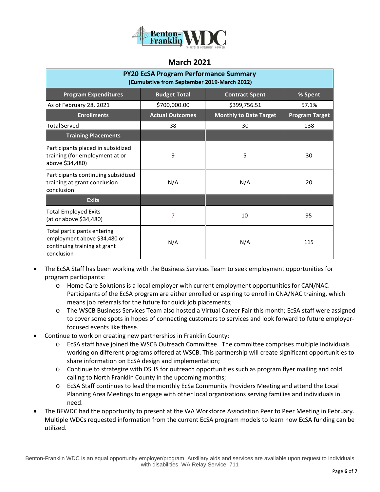

| <b>PY20 EcSA Program Performance Summary</b><br>(Cumulative from September 2019-March 2022)               |                        |                               |                       |  |  |  |
|-----------------------------------------------------------------------------------------------------------|------------------------|-------------------------------|-----------------------|--|--|--|
| <b>Program Expenditures</b>                                                                               | <b>Budget Total</b>    | <b>Contract Spent</b>         | % Spent               |  |  |  |
| As of February 28, 2021                                                                                   | \$700,000.00           | \$399,756.51                  | 57.1%                 |  |  |  |
| <b>Enrollments</b>                                                                                        | <b>Actual Outcomes</b> | <b>Monthly to Date Target</b> | <b>Program Target</b> |  |  |  |
| <b>Total Served</b>                                                                                       | 38                     | 30                            | 138                   |  |  |  |
| <b>Training Placements</b>                                                                                |                        |                               |                       |  |  |  |
| Participants placed in subsidized<br>training (for employment at or<br>above \$34,480)                    | 9                      | 5                             | 30                    |  |  |  |
| Participants continuing subsidized<br>training at grant conclusion<br>conclusion                          | N/A                    | N/A                           | 20                    |  |  |  |
| <b>Exits</b>                                                                                              |                        |                               |                       |  |  |  |
| <b>Total Employed Exits</b><br>(at or above \$34,480)                                                     | 7                      | 10                            | 95                    |  |  |  |
| Total participants entering<br>employment above \$34,480 or<br>continuing training at grant<br>conclusion | N/A                    | N/A                           | 115                   |  |  |  |

- The EcSA Staff has been working with the Business Services Team to seek employment opportunities for program participants:
	- o Home Care Solutions is a local employer with current employment opportunities for CAN/NAC. Participants of the EcSA program are either enrolled or aspiring to enroll in CNA/NAC training, which means job referrals for the future for quick job placements;
	- o The WSCB Business Services Team also hosted a Virtual Career Fair this month; EcSA staff were assigned to cover some spots in hopes of connecting customers to services and look forward to future employerfocused events like these.
- Continue to work on creating new partnerships in Franklin County:
	- o EcSA staff have joined the WSCB Outreach Committee. The committee comprises multiple individuals working on different programs offered at WSCB. This partnership will create significant opportunities to share information on EcSA design and implementation;
	- o Continue to strategize with DSHS for outreach opportunities such as program flyer mailing and cold calling to North Franklin County in the upcoming months;
	- o EcSA Staff continues to lead the monthly EcSa Community Providers Meeting and attend the Local Planning Area Meetings to engage with other local organizations serving families and individuals in need.
- The BFWDC had the opportunity to present at the WA Workforce Association Peer to Peer Meeting in February. Multiple WDCs requested information from the current EcSA program models to learn how EcSA funding can be utilized.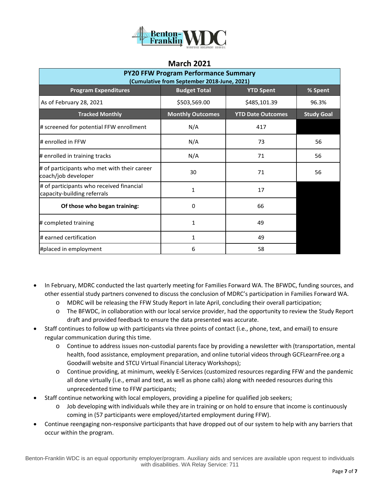

| <b>PY20 FFW Program Performance Summary</b><br>(Cumulative from September 2018-June, 2021) |                         |                          |                   |  |  |  |
|--------------------------------------------------------------------------------------------|-------------------------|--------------------------|-------------------|--|--|--|
| <b>Program Expenditures</b>                                                                | <b>Budget Total</b>     | <b>YTD Spent</b>         | % Spent           |  |  |  |
| As of February 28, 2021                                                                    | \$503,569.00            | \$485,101.39             | 96.3%             |  |  |  |
| <b>Tracked Monthly</b>                                                                     | <b>Monthly Outcomes</b> | <b>YTD Date Outcomes</b> | <b>Study Goal</b> |  |  |  |
| # screened for potential FFW enrollment                                                    | N/A                     | 417                      |                   |  |  |  |
| # enrolled in FFW                                                                          | N/A                     | 73                       | 56                |  |  |  |
| # enrolled in training tracks                                                              | N/A                     | 71                       | 56                |  |  |  |
| # of participants who met with their career<br>coach/job developer                         | 30                      | 71                       | 56                |  |  |  |
| # of participants who received financial<br>capacity-building referrals                    | $\mathbf{1}$            | 17                       |                   |  |  |  |
| Of those who began training:                                                               | $\Omega$                | 66                       |                   |  |  |  |
| # completed training                                                                       | 1                       | 49                       |                   |  |  |  |
| # earned certification                                                                     | 1                       | 49                       |                   |  |  |  |
| #placed in employment                                                                      | 6                       | 58                       |                   |  |  |  |

- In February, MDRC conducted the last quarterly meeting for Families Forward WA. The BFWDC, funding sources, and other essential study partners convened to discuss the conclusion of MDRC's participation in Families Forward WA.
	- o MDRC will be releasing the FFW Study Report in late April, concluding their overall participation;
	- o The BFWDC, in collaboration with our local service provider, had the opportunity to review the Study Report draft and provided feedback to ensure the data presented was accurate.
- Staff continues to follow up with participants via three points of contact (i.e., phone, text, and email) to ensure regular communication during this time.
	- o Continue to address issues non-custodial parents face by providing a newsletter with (transportation, mental health, food assistance, employment preparation, and online tutorial videos through GCFLearnFree.org a Goodwill website and STCU Virtual Financial Literacy Workshops);
	- o Continue providing, at minimum, weekly E-Services (customized resources regarding FFW and the pandemic all done virtually (i.e., email and text, as well as phone calls) along with needed resources during this unprecedented time to FFW participants;
- Staff continue networking with local employers, providing a pipeline for qualified job seekers;
	- o Job developing with individuals while they are in training or on hold to ensure that income is continuously coming in (57 participants were employed/started employment during FFW).
- Continue reengaging non-responsive participants that have dropped out of our system to help with any barriers that occur within the program.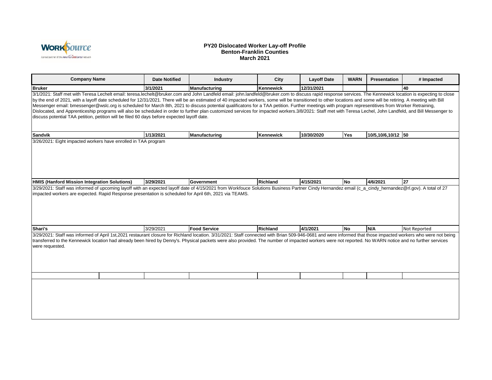

#### **PY20 Dislocated Worker Lay-off Profile Benton-Franklin Counties March 2021**

| <b>Company Name</b>                                                                                                                                                                                                                                                                                                                                                                                                                                                                                                                                                                                                                                                                                                                                                                                                                                                                                                                                  | <b>Date Notified</b> | <b>Industry</b>     | City      | <b>Layoff Date</b> | <b>WARN</b> | <b>Presentation</b> | # Impacted   |
|------------------------------------------------------------------------------------------------------------------------------------------------------------------------------------------------------------------------------------------------------------------------------------------------------------------------------------------------------------------------------------------------------------------------------------------------------------------------------------------------------------------------------------------------------------------------------------------------------------------------------------------------------------------------------------------------------------------------------------------------------------------------------------------------------------------------------------------------------------------------------------------------------------------------------------------------------|----------------------|---------------------|-----------|--------------------|-------------|---------------------|--------------|
| <b>Bruker</b>                                                                                                                                                                                                                                                                                                                                                                                                                                                                                                                                                                                                                                                                                                                                                                                                                                                                                                                                        | 3/1/2021             | Manufacturing       | Kennewick | 12/31/2021         |             |                     | 40           |
| 3/1/2021: Staff met with Teresa Lechelt email: teresa.lechelt@bruker.com and John Landfeld email: john.landfeld@bruker.com to discuss rapid response services. The Kennewick location is expecting to close<br>by the end of 2021, with a layoff date scheduled for 12/31/2021. There will be an estimated of 40 impacted workers, some will be transitioned to other locations and some will be retiring. A meeting with Bill<br>Messenger email: bmessenger@wslc.org is scheduled for March 8th, 2021 to discuss potential qualificatons for a TAA petition. Further meetings with program representitives from Worker Retraining,<br>Dislocated, and Apprenticeship programs will also be scheduled in order to further plan customized services for impacted workers.3/8/2021: Staff met with Teresa Lechel, John Landfeld, and Bill Messenger to<br>discuss potential TAA petition, petition will be filed 60 days before expected layoff date. |                      |                     |           |                    |             |                     |              |
| <b>Sandvik</b>                                                                                                                                                                                                                                                                                                                                                                                                                                                                                                                                                                                                                                                                                                                                                                                                                                                                                                                                       | 1/13/2021            | Manufacturing       | Kennewick | 10/30/2020         | <b>Yes</b>  | 10/5,10/6,10/12 50  |              |
| 3/26/2021: Eight impacted workers have enrolled in TAA program                                                                                                                                                                                                                                                                                                                                                                                                                                                                                                                                                                                                                                                                                                                                                                                                                                                                                       |                      |                     |           |                    |             |                     |              |
| <b>HMIS (Hanford Mission Integration Solutions)</b>                                                                                                                                                                                                                                                                                                                                                                                                                                                                                                                                                                                                                                                                                                                                                                                                                                                                                                  | 3/29/2021            | <b>Government</b>   | Richland  | 4/15/2021          | <b>No</b>   | 4/6/2021            | 27           |
| impacted workers are expected. Rapid Response presentation is scheduled for April 6th, 2021 via TEAMS.                                                                                                                                                                                                                                                                                                                                                                                                                                                                                                                                                                                                                                                                                                                                                                                                                                               |                      |                     |           |                    |             |                     |              |
| Shari's                                                                                                                                                                                                                                                                                                                                                                                                                                                                                                                                                                                                                                                                                                                                                                                                                                                                                                                                              | 3/29/2021            | <b>Food Service</b> | Richland  | 4/1/2021           | <b>No</b>   | N/A                 | Not Reported |
| 3/29/2021: Staff was informed of April 1st,2021 restaurant closure for Richland location. 3/31/2021: Staff connected with Brian 509-946-0681 and were informed that those impacted workers who were not being<br>transferred to the Kennewick location had already been hired by Denny's. Physical packets were also provided. The number of impacted workers were not reported. No WARN notice and no further services<br>were requested.                                                                                                                                                                                                                                                                                                                                                                                                                                                                                                           |                      |                     |           |                    |             |                     |              |
|                                                                                                                                                                                                                                                                                                                                                                                                                                                                                                                                                                                                                                                                                                                                                                                                                                                                                                                                                      |                      |                     |           |                    |             |                     |              |
|                                                                                                                                                                                                                                                                                                                                                                                                                                                                                                                                                                                                                                                                                                                                                                                                                                                                                                                                                      |                      |                     |           |                    |             |                     |              |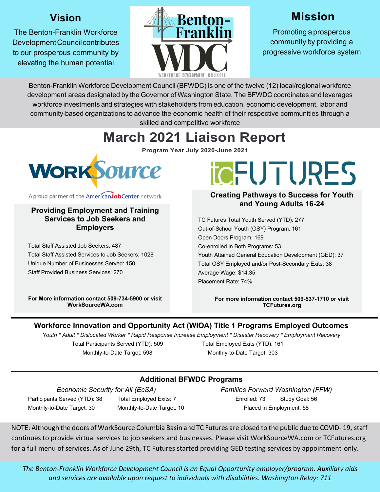# **Vision**

The Benton-Franklin Workforce Development Council contributes to our prosperous community by elevating the human potential



# **Mission**

Promoting a prosperous community by providing a progressive workforce system

Benton-Franklin Workforce Development Council (BFWDC) is one of the twelve (12) local/regional workforce development areas designated by the Governor of Washington State. The BFWDC coordinates and leverages workforce investments and strategies with stakeholders from education, economic development, labor and community-based organizations to advance the economic health of their respective communities through a skilled and competitive workforce

# **March 2021 Liaison Report**

**Program Year July 2020-June 2021**



A proud partner of the AmericanJobCenter network

#### **Providing Employment and Training Services to Job Seekers and Employers**

Total Staff Assisted Job Seekers: 487 Total Staff Assisted Services to Job Seekers: 1028 Unique Number of Businesses Served: 150 Staff Provided Business Services: 270

**For More information contact 509-734-5900 or visit WorkSourceWA.com**

# **TOFUTURES**

#### **Creating Pathways to Success for Youth and Young Adults 16-24**

TC Futures Total Youth Served (YTD): 277 Out-of-School Youth (OSY) Program: 161 Open Doors Program: 169 Co-enrolled in Both Programs: 53 Youth Attained General Education Development (GED): 37 Total OSY Employed and/or Post-Secondary Exits: 38 Average Wage: \$14.35 Placement Rate: 74%

> **For more information contact 509-537-1710 or visit TCFutures.org**

## **Workforce Innovation and Opportunity Act (WIOA) Title 1 Programs Employed Outcomes**

*Youth \* Adult \* Dislocated Worker \* Rapid Response Increase Employment \* Disaster Recovery \* Employment Recovery* Total Participants Served (YTD): 509 Monthly-to-Date Target: 598 Total Employed Exits (YTD): 161 Monthly-to-Date Target: 303

# **Additional BFWDC Programs**

*Economic Security for All (EcSA)* Participants Served (YTD): 38 Total Employed Exits: 7

Monthly-to-Date Target: 30 Monthly-to-Date Target: 10

*Families Forward Washington (FFW)* Enrolled: 73 Study Goal: 56 Placed in Employment: 58

NOTE: Although the doors of WorkSource Columbia Basin and TC Futures are closed to the public due to COVID- 19, staff continues to provide virtual services to job seekers and businesses. Please visit WorkSourceWA.com or TCFutures.org for a full menu of services. As of June 29th, TC Futures started providing GED testing services by appointment only.

*The Benton-Franklin Workforce Development Council is an Equal Opportunity employer/program. Auxiliary aids and services are available upon request to individuals with disabilities. Washington Relay: 711*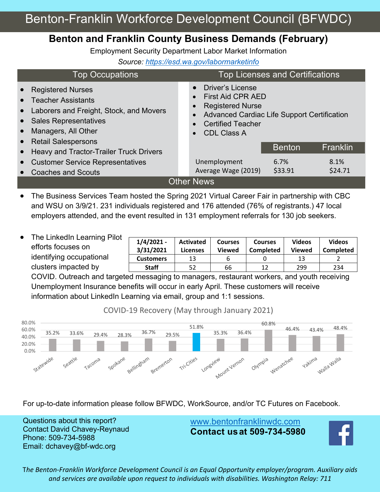# **Benton and Franklin County Business Demands (February)**

Employment Security Department Labor Market Information

*Source: https://esd.wa.gov/labormarketinfo*

| <b>Top Occupations</b>                                                                                                                                                                                 | <b>Top Licenses and Certifications</b>                                                                                                                                          |  |  |  |  |
|--------------------------------------------------------------------------------------------------------------------------------------------------------------------------------------------------------|---------------------------------------------------------------------------------------------------------------------------------------------------------------------------------|--|--|--|--|
| <b>Registered Nurses</b><br>$\bullet$<br>• Teacher Assistants<br>Laborers and Freight, Stock, and Movers<br>$\bullet$<br><b>Sales Representatives</b><br>$\bullet$<br>Managers, All Other<br>$\bullet$ | <b>Driver's License</b><br><b>First Aid CPR AED</b><br><b>Registered Nurse</b><br>Advanced Cardiac Life Support Certification<br><b>Certified Teacher</b><br><b>CDL Class A</b> |  |  |  |  |
| <b>Retail Salespersons</b><br>$\bullet$                                                                                                                                                                | <b>Franklin</b><br><b>Benton</b>                                                                                                                                                |  |  |  |  |
| Heavy and Tractor-Trailer Truck Drivers<br>$\bullet$                                                                                                                                                   |                                                                                                                                                                                 |  |  |  |  |
| <b>Customer Service Representatives</b><br>$\bullet$                                                                                                                                                   | Unemployment<br>6.7%<br>8.1%                                                                                                                                                    |  |  |  |  |
| <b>Coaches and Scouts</b>                                                                                                                                                                              | \$33.91<br>\$24.71<br>Average Wage (2019)                                                                                                                                       |  |  |  |  |
| <b>Other News</b>                                                                                                                                                                                      |                                                                                                                                                                                 |  |  |  |  |

- The Business Services Team hosted the Spring 2021 Virtual Career Fair in partnership with CBC and WSU on 3/9/21. 231 individuals registered and 176 attended (76% of registrants.) 47 local employers attended, and the event resulted in 131 employment referrals for 130 job seekers.
- The LinkedIn Learning Pilot efforts focuses on identifying occupational clusters impacted by

| $1/4/2021 -$<br>3/31/2021 | <b>Activated</b><br>Licenses | <b>Courses</b><br><b>Viewed</b> | <b>Courses</b><br>Completed | <b>Videos</b><br><b>Viewed</b> | <b>Videos</b><br>Completed |
|---------------------------|------------------------------|---------------------------------|-----------------------------|--------------------------------|----------------------------|
| <b>Customers</b>          | 13                           |                                 |                             | 13                             |                            |
| <b>Staff</b>              | 52                           | 66                              | 1 ว                         | 299                            | 234                        |

COVID. Outreach and targeted messaging to managers, restaurant workers, and youth receiving Unemployment Insurance benefits will occur in early April. These customers will receive information about LinkedIn Learning via email, group and 1:1 sessions.

COVID-19 Recovery (May through January 2021)



For up-to-date information please follow BFWDC, WorkSource, and/or TC Futures on Facebook.

Questions about this report? Contact David Chavey-Reynaud Phone: 509-734-5988 Email: dchavey@bf-wdc.org

www.bentonfranklinwdc.com **Contact usat 509-734-5980**



T*he Benton-Franklin Workforce Development Council is an Equal Opportunity employer/program. Auxiliary aids and services are available upon request to individuals with disabilities. Washington Relay: 711*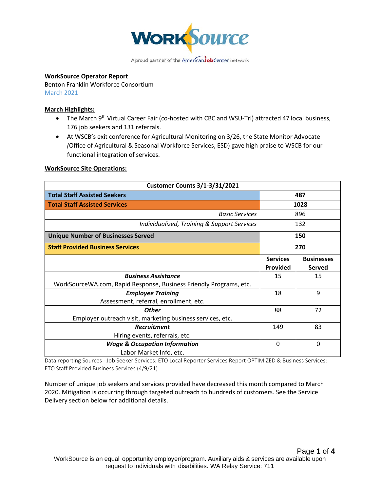

#### **WorkSource Operator Report**

Benton Franklin Workforce Consortium March 2021

#### **March Highlights:**

- The March 9<sup>th</sup> Virtual Career Fair (co-hosted with CBC and WSU-Tri) attracted 47 local business, 176 job seekers and 131 referrals.
- At WSCB's exit conference for Agricultural Monitoring on 3/26, the State Monitor Advocate *(*Office of Agricultural & Seasonal Workforce Services, ESD) gave high praise to WSCB for our functional integration of services.

#### **WorkSource Site Operations:**

| <b>Customer Counts 3/1-3/31/2021</b>                               |                                    |                             |  |
|--------------------------------------------------------------------|------------------------------------|-----------------------------|--|
| <b>Total Staff Assisted Seekers</b>                                |                                    | 487                         |  |
| <b>Total Staff Assisted Services</b>                               |                                    | 1028                        |  |
| <b>Basic Services</b>                                              |                                    | 896                         |  |
| Individualized, Training & Support Services                        |                                    | 132                         |  |
| <b>Unique Number of Businesses Served</b>                          |                                    | 150                         |  |
| <b>Staff Provided Business Services</b>                            |                                    | 270                         |  |
|                                                                    | <b>Services</b><br><b>Provided</b> | <b>Businesses</b><br>Served |  |
| <b>Business Assistance</b>                                         | 15                                 | 15                          |  |
| WorkSourceWA.com, Rapid Response, Business Friendly Programs, etc. |                                    |                             |  |
| <b>Employee Training</b>                                           | 18                                 | 9                           |  |
| Assessment, referral, enrollment, etc.                             |                                    |                             |  |
| <b>Other</b>                                                       | 88                                 | 72                          |  |
| Employer outreach visit, marketing business services, etc.         |                                    |                             |  |
| <b>Recruitment</b>                                                 | 149                                | 83                          |  |
| Hiring events, referrals, etc.                                     |                                    |                             |  |
| <b>Wage &amp; Occupation Information</b>                           | $\Omega$                           | $\Omega$                    |  |
| Labor Market Info, etc.                                            |                                    |                             |  |

Data reporting Sources - Job Seeker Services: ETO Local Reporter Services Report OPTIMIZED & Business Services: ETO Staff Provided Business Services (4/9/21)

Number of unique job seekers and services provided have decreased this month compared to March 2020. Mitigation is occurring through targeted outreach to hundreds of customers. See the Service Delivery section below for additional details.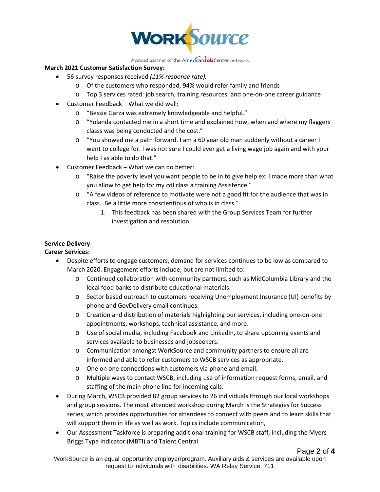

A proud partner of the AmericanJobCenter network

#### **March 2021 Customer Satisfaction Survey:**

- 56 survey responses received *(11% response rate):*
	- o Of the customers who responded, 94% would refer family and friends
	- o Top 3 services rated: job search, training resources, and one-on-one career guidance
- Customer Feedback What we did well:
	- o "Bessie Garza was extremely knowledgeable and helpful."
	- $\circ$  "Yolanda contacted me in a short time and explained how, when and where my flaggers classs was being conducted and the cost."
	- o "You showed me a path forward. I am a 60 year old man suddenly without a career I went to college for. I was not sure I could ever get a living wage job again and with your help I as able to do that."
- Customer Feedback What we can do better:
	- o "Raise the poverty level you want people to be in to give help ex: I made more than what you allow to get help for my cdl class a training Assistence."
	- o "A few videos of reference to motivate were not a good fit for the audience that was in class…Be a little more conscientious of who is in class."
		- 1. This feedback has been shared with the Group Services Team for further investigation and resolution.

#### **Service Delivery**

#### **Career Services:**

- Despite efforts to engage customers, demand for services continues to be low as compared to March 2020. Engagement efforts include, but are not limited to:
	- o Continued collaboration with community partners, such as MidColumbia Library and the local food banks to distribute educational materials.
	- o Sector based outreach to customers receiving Unemployment Insurance (UI) benefits by phone and GovDelivery email continues.
	- o Creation and distribution of materials highlighting our services, including one-on-one appointments, workshops, technical assistance, and more.
	- o Use of social media, including Facebook and LinkedIn, to share upcoming events and services available to businesses and jobseekers.
	- o Communication amongst WorkSource and community partners to ensure all are informed and able to refer customers to WSCB services as appropriate.
	- o One on one connections with customers via phone and email.
	- o Multiple ways to contact WSCB, including use of information request forms, email, and staffing of the main phone line for incoming calls.
- During March, WSCB provided 82 group services to 26 individuals through our local workshops and group sessions. The most attended workshop during March is the Strategies for Success series, which provides opportunities for attendees to connect with peers and to learn skills that will support them in life as well as work. Topics include communication,
- Our Assessment Taskforce is preparing additional training for WSCB staff, including the Myers Briggs Type Indicator (MBTI) and Talent Central.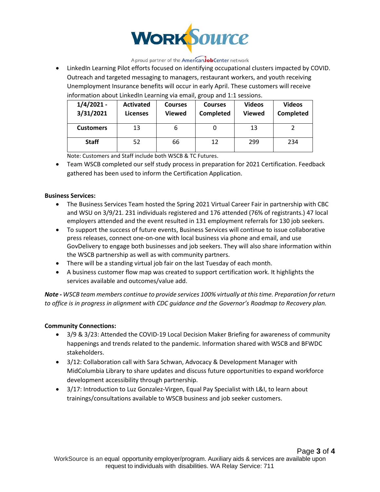

A proud partner of the AmericanJobCenter network

• LinkedIn Learning Pilot efforts focused on identifying occupational clusters impacted by COVID. Outreach and targeted messaging to managers, restaurant workers, and youth receiving Unemployment Insurance benefits will occur in early April. These customers will receive information about LinkedIn Learning via email, group and 1:1 sessions.

| $1/4/2021 -$<br>3/31/2021 | <b>Activated</b><br><b>Licenses</b> | <b>Courses</b><br><b>Viewed</b> | <b>Courses</b><br>Completed | <b>Videos</b><br><b>Viewed</b> | <b>Videos</b><br><b>Completed</b> |
|---------------------------|-------------------------------------|---------------------------------|-----------------------------|--------------------------------|-----------------------------------|
| <b>Customers</b>          | 13                                  | ь                               |                             | 13                             |                                   |
| <b>Staff</b>              | 52                                  | 66                              | 12                          | 299                            | 234                               |

Note: Customers and Staff include both WSCB & TC Futures.

• Team WSCB completed our self study process in preparation for 2021 Certification. Feedback gathered has been used to inform the Certification Application.

#### **Business Services:**

- The Business Services Team hosted the Spring 2021 Virtual Career Fair in partnership with CBC and WSU on 3/9/21. 231 individuals registered and 176 attended (76% of registrants.) 47 local employers attended and the event resulted in 131 employment referrals for 130 job seekers.
- To support the success of future events, Business Services will continue to issue collaborative press releases, connect one-on-one with local business via phone and email, and use GovDelivery to engage both businesses and job seekers. They will also share information within the WSCB partnership as well as with community partners.
- There will be a standing virtual job fair on the last Tuesday of each month.
- A business customer flow map was created to support certification work. It highlights the services available and outcomes/value add.

*Note - WSCB team members continue to provide services 100% virtually at this time. Preparation for return to office is in progress in alignment with CDC guidance and the Governor's Roadmap to Recovery plan.*

#### **Community Connections:**

- 3/9 & 3/23: Attended the COVID-19 Local Decision Maker Briefing for awareness of community happenings and trends related to the pandemic. Information shared with WSCB and BFWDC stakeholders.
- 3/12: Collaboration call with Sara Schwan, Advocacy & Development Manager with MidColumbia Library to share updates and discuss future opportunities to expand workforce development accessibility through partnership.
- 3/17: Introduction to Luz Gonzalez-Virgen, Equal Pay Specialist with L&I, to learn about trainings/consultations available to WSCB business and job seeker customers.